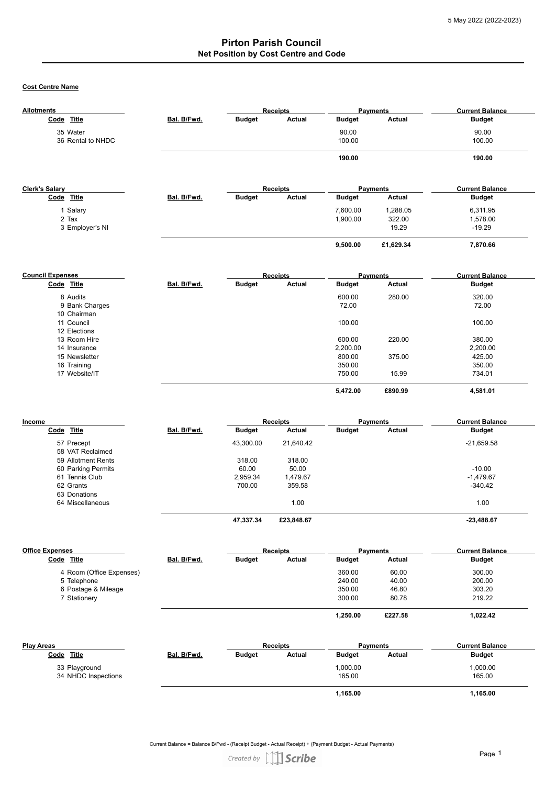**Cost Centre Name**

| <b>Allotments</b>                    |             | <b>Receipts</b>    |                    | <b>Payments</b>    |                 | <b>Current Balance</b>  |
|--------------------------------------|-------------|--------------------|--------------------|--------------------|-----------------|-------------------------|
| Code Title                           | Bal. B/Fwd. | <b>Budget</b>      | Actual             | <b>Budget</b>      | Actual          | <b>Budget</b>           |
| 35 Water                             |             |                    |                    | 90.00              |                 | 90.00                   |
| 36 Rental to NHDC                    |             |                    |                    | 100.00             |                 | 100.00                  |
|                                      |             |                    |                    |                    |                 |                         |
|                                      |             |                    |                    | 190.00             |                 | 190.00                  |
|                                      |             |                    |                    |                    |                 |                         |
| <b>Clerk's Salary</b>                |             |                    | <b>Receipts</b>    |                    | <b>Payments</b> | <b>Current Balance</b>  |
| Code Title                           | Bal. B/Fwd. | <b>Budget</b>      | Actual             | <b>Budget</b>      | Actual          | <b>Budget</b>           |
|                                      |             |                    |                    | 7,600.00           | 1,288.05        | 6,311.95                |
| 1 Salary<br>2 Tax                    |             |                    |                    | 1,900.00           | 322.00          | 1,578.00                |
| 3 Employer's NI                      |             |                    |                    |                    | 19.29           | $-19.29$                |
|                                      |             |                    |                    |                    |                 |                         |
|                                      |             |                    |                    | 9,500.00           | £1,629.34       | 7,870.66                |
|                                      |             |                    |                    |                    |                 |                         |
| <b>Council Expenses</b>              |             |                    | <b>Receipts</b>    |                    | <b>Payments</b> | <b>Current Balance</b>  |
| Code Title                           | Bal. B/Fwd. | <b>Budget</b>      | Actual             | <b>Budget</b>      | Actual          | <b>Budget</b>           |
| 8 Audits                             |             |                    |                    | 600.00             | 280.00          | 320.00                  |
| 9 Bank Charges                       |             |                    |                    | 72.00              |                 | 72.00                   |
| 10 Chairman                          |             |                    |                    |                    |                 |                         |
| 11 Council                           |             |                    |                    | 100.00             |                 | 100.00                  |
| 12 Elections                         |             |                    |                    |                    |                 |                         |
| 13 Room Hire                         |             |                    |                    | 600.00             | 220.00          | 380.00                  |
| 14 Insurance                         |             |                    |                    | 2,200.00<br>800.00 |                 | 2,200.00                |
| 15 Newsletter<br>16 Training         |             |                    |                    | 350.00             | 375.00          | 425.00<br>350.00        |
| 17 Website/IT                        |             |                    |                    | 750.00             | 15.99           | 734.01                  |
|                                      |             |                    |                    |                    |                 |                         |
|                                      |             |                    |                    | 5,472.00           | £890.99         | 4,581.01                |
|                                      |             |                    |                    |                    |                 |                         |
| Income                               |             |                    | <b>Receipts</b>    |                    | <b>Payments</b> | <b>Current Balance</b>  |
| Code Title                           | Bal. B/Fwd. | <b>Budget</b>      | Actual             | <b>Budget</b>      | Actual          | <b>Budget</b>           |
| 57 Precept                           |             | 43,300.00          | 21,640.42          |                    |                 | $-21,659.58$            |
| 58 VAT Reclaimed                     |             |                    |                    |                    |                 |                         |
| 59 Allotment Rents                   |             | 318.00             | 318.00             |                    |                 |                         |
| 60 Parking Permits<br>61 Tennis Club |             | 60.00              | 50.00              |                    |                 | $-10.00$<br>$-1,479.67$ |
| 62 Grants                            |             | 2,959.34<br>700.00 | 1,479.67<br>359.58 |                    |                 | $-340.42$               |
| 63 Donations                         |             |                    |                    |                    |                 |                         |
| 64 Miscellaneous                     |             |                    | 1.00               |                    |                 | 1.00                    |
|                                      |             | 47,337.34          | £23,848.67         |                    |                 | $-23,488.67$            |
|                                      |             |                    |                    |                    |                 |                         |
| <b>Office Expenses</b>               |             |                    | <b>Receipts</b>    |                    | Payments        | <b>Current Balance</b>  |
| Code Title                           | Bal. B/Fwd. | <b>Budget</b>      | Actual             | <b>Budget</b>      | <b>Actual</b>   | Budget                  |
| 4 Room (Office Expenses)             |             |                    |                    | 360.00             | 60.00           | 300.00                  |
| 5 Telephone                          |             |                    |                    | 240.00             | 40.00           | 200.00                  |
| 6 Postage & Mileage                  |             |                    |                    | 350.00             | 46.80           | 303.20                  |
| 7 Stationery                         |             |                    |                    | 300.00             | 80.78           | 219.22                  |
|                                      |             |                    |                    | 1,250.00           | £227.58         | 1,022.42                |
|                                      |             |                    |                    |                    |                 |                         |
| <b>Play Areas</b>                    |             |                    | <b>Receipts</b>    |                    | <b>Payments</b> | <b>Current Balance</b>  |
| Code Title                           | Bal. B/Fwd. | <b>Budget</b>      | Actual             | <b>Budget</b>      | <b>Actual</b>   | <b>Budget</b>           |
| 33 Playground                        |             |                    |                    | 1,000.00           |                 | 1,000.00                |
| 34 NHDC Inspections                  |             |                    |                    | 165.00             |                 | 165.00                  |

| oo i layyibana        |
|-----------------------|
| 24 NILIDO Increations |

34 NHDC Inspections

Current Balance = Balance B/Fwd - (Receipt Budget - Actual Receipt) + (Payment Budget - Actual Payments)

 **1,165.00 1,165.00**